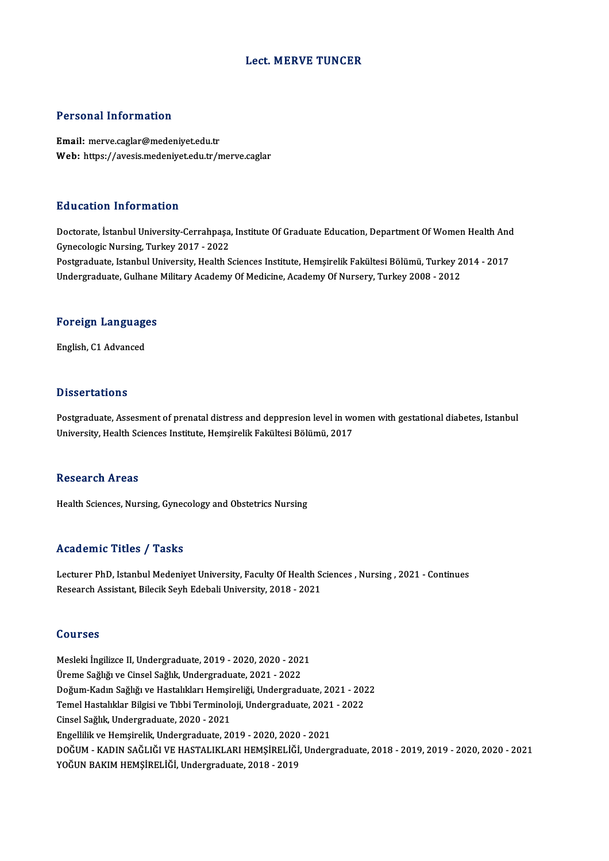### Lect.MERVE TUNCER

### Personal Information

Email: merve.caglar@medeniyet.edu.tr Web: https://avesis.medeniyet.edu.tr/merve.caglar

### Education Information

Education Information<br>Doctorate, İstanbul University-Cerrahpaşa, Institute Of Graduate Education, Department Of Women Health And<br>Cunosalagis Nursing Turkey 2017 - 2022 Buuteuren Information<br>Doctorate, İstanbul University-Cerrahpaşa<br>Gynecologic Nursing, Turkey 2017 - 2022<br>Bostanaduate Istanbul University, Hoalth S Doctorate, İstanbul University-Cerrahpaşa, Institute Of Graduate Education, Department Of Women Health And<br>Gynecologic Nursing, Turkey 2017 - 2022<br>Postgraduate, Istanbul University, Health Sciences Institute, Hemşirelik Fa

Gynecologic Nursing, Turkey 2017 - 2022<br>Postgraduate, Istanbul University, Health Sciences Institute, Hemşirelik Fakültesi Bölümü, Turkey 2<br>Undergraduate, Gulhane Military Academy Of Medicine, Academy Of Nursery, Turkey 20

# <sub>ondergraduate, Gumane<br>Foreign Languages</sub> F<mark>oreign Languag</mark>e<br>English, C1 Advanced

English, C1 Advanced<br>Dissertations

Dissertations<br>Postgraduate, Assesment of prenatal distress and deppresion level in women with gestational diabetes, Istanbul<br>University, Hoalth Sciences Institute Hemeirelik Fakültesi Pölümü, 2017 D 19991 Catronio<br>Postgraduate, Assesment of prenatal distress and deppresion level in wo<br>University, Health Sciences Institute, Hemşirelik Fakültesi Bölümü, 2017 University, Health Sciences Institute, Hemşirelik Fakültesi Bölümü, 2017<br>Research Areas

Health Sciences, Nursing, Gynecology and Obstetrics Nursing

### Academic Titles / Tasks

Academic Titles / Tasks<br>Lecturer PhD, Istanbul Medeniyet University, Faculty Of Health Sciences , Nursing , 2021 - Continues<br>Researsh Assistant, Bilesil: Sayb Edebeli University, 2018 - 2021 Reductific Trace 7<br>Lecturer PhD, Istanbul Medeniyet University, Faculty Of Health S<br>Research Assistant, Bilecik Seyh Edebali University, 2018 - 2021 Research Assistant, Bilecik Seyh Edebali University, 2018 - 2021<br>Courses

Courses<br>Mesleki İngilizce II, Undergraduate, 2019 - 2020, 2020 - 2021<br>Üreme Seğliği ve Cincel Seğlik Undergraduate, 2021 - 2022 UURISSE<br>Mesleki İngilizce II, Undergraduate, 2019 - 2020, 2020 - 202<br>Üreme Sağlığı ve Cinsel Sağlık, Undergraduate, 2021 - 2022<br>Doğum Kodın Soğlığı ve Hestalıkları Hemsineliği Undergradı Mesleki İngilizce II, Undergraduate, 2019 - 2020, 2020 - 2021<br>Üreme Sağlığı ve Cinsel Sağlık, Undergraduate, 2021 - 2022<br>Doğum-Kadın Sağlığı ve Hastalıkları Hemşireliği, Undergraduate, 2021 - 2022<br>Temel Hastalıklar Bilgiçi Üreme Sağlığı ve Cinsel Sağlık, Undergraduate, 2021 - 2022<br>Doğum-Kadın Sağlığı ve Hastalıkları Hemşireliği, Undergraduate, 2021 - 202<br>Temel Hastalıklar Bilgisi ve Tıbbi Terminoloji, Undergraduate, 2021 - 2022<br>Cinsel Sağlık Doğum-Kadın Sağlığı ve Hastalıkları Hemşi<br>Temel Hastalıklar Bilgisi ve Tıbbi Terminolo<br>Cinsel Sağlık, Undergraduate, 2020 - 2021<br>Engellilik ve Hemsinolik Undergraduate, 20 Temel Hastalıklar Bilgisi ve Tıbbi Terminoloji, Undergraduate, 2021 - 2022<br>Cinsel Sağlık, Undergraduate, 2020 - 2021<br>Engellilik ve Hemsirelik, Undergraduate, 2019 - 2020, 2020 - 2021 Cinsel Sağlık, Undergraduate, 2020 - 2021<br>Engellilik ve Hemşirelik, Undergraduate, 2019 - 2020, 2020 - 2021<br>DOĞUM - KADIN SAĞLIĞI VE HASTALIKLARI HEMŞİRELİĞİ, Undergraduate, 2018 - 2019, 2019 - 2020, 2020 - 2021<br>YOĞUN BAKI Engellilik ve Hemşirelik, Undergraduate, 2019 - 2020, 2020<br>DOĞUM - KADIN SAĞLIĞI VE HASTALIKLARI HEMŞİRELİĞİ<br>YOĞUN BAKIM HEMŞİRELİĞİ, Undergraduate, 2018 - 2019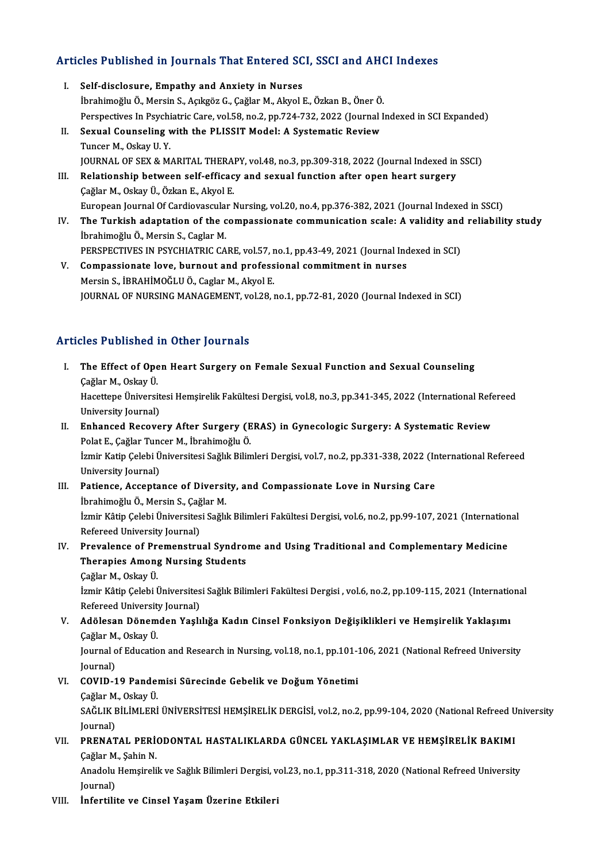# Articles Published in Journals That Entered SCI, SSCI and AHCI Indexes

- rticles Published in Journals That Entered SC<br>I. Self-disclosure, Empathy and Anxiety in Nurses<br>Throbimoğlu Ö. Morsin S. Asksöz C. Coğlar M. Akral I İbrahimoğluÖ.,MersinS.,AçıkgözG.,ÇağlarM.,AkyolE.,ÖzkanB.,ÖnerÖ. Self-disclosure, Empathy and Anxiety in Nurses<br>İbrahimoğlu Ö., Mersin S., Açıkgöz G., Çağlar M., Akyol E., Özkan B., Öner Ö.<br>Perspectives In Psychiatric Care, vol.58, no.2, pp.724-732, 2022 (Journal Indexed in SCI Expanded Ibrahimoğlu Ö., Mersin S., Açıkgöz G., Çağlar M., Akyol E., Özkan B., Öner Ö.<br>Perspectives In Psychiatric Care, vol.58, no.2, pp.724-732, 2022 (Journal I<br>II. Sexual Counseling with the PLISSIT Model: A Systematic Review<br>Tu Perspectives In Psychi<br>Sexual Counseling v<br>Tuncer M., Oskay U.Y.<br>JOUPNAL OF SEY & M Sexual Counseling with the PLISSIT Model: A Systematic Review<br>Tuncer M., Oskay U. Y.<br>JOURNAL OF SEX & MARITAL THERAPY, vol.48, no.3, pp.309-318, 2022 (Journal Indexed in SSCI)<br>Pelationship between self officesy and sexual Tuncer M., Oskay U. Y.<br>JOURNAL OF SEX & MARITAL THERAPY, vol.48, no.3, pp.309-318, 2022 (Journal Indexed in<br>III. Relationship between self-efficacy and sexual function after open heart surgery<br>Cağlar M., Oskay Ü., Özkan E. JOURNAL OF SEX & MARITAL THERA<br>Relationship between self-efficac<br>Çağlar M., Oskay Ü., Özkan E., Akyol E.<br>European Journal Of Cardioveaular I Relationship between self-efficacy and sexual function after open heart surgery<br>Çağlar M., Oskay Ü., Özkan E., Akyol E.<br>European Journal Of Cardiovascular Nursing, vol.20, no.4, pp.376-382, 2021 (Journal Indexed in SSCI)<br>T IV. The Turkish adaptation of the compassionate communication scale: A validity and reliability study European Journal Of Cardiovascula<br>The Turkish adaptation of the c<br>İbrahimoğlu Ö., Mersin S., Caglar M.<br>PERSPECTIVES IN PSYCHIATPIC CA The Turkish adaptation of the compassionate communication scale: A validity and<br>İbrahimoğlu Ö., Mersin S., Caglar M.<br>PERSPECTIVES IN PSYCHIATRIC CARE, vol.57, no.1, pp.43-49, 2021 (Journal Indexed in SCI)<br>Compassionate lev ibrahimoğlu Ö., Mersin S., Caglar M.<br>PERSPECTIVES IN PSYCHIATRIC CARE, vol.57, no.1, pp.43-49, 2021 (Journal Inc<br>V. Compassionate love, burnout and professional commitment in nurses<br>Morsin S. JPPAHIMOČLU Ö. Caglar M. Algul
- PERSPECTIVES IN PSYCHIATRIC CARE, vol.57, r<br>Compassionate love, burnout and profess<br>Mersin S., İBRAHİMOĞLU Ö., Caglar M., Akyol E.<br>JOUPNAL OE NURSINC MANACEMENT vol.28 . V. Compassionate love, burnout and professional commitment in nurses<br>Mersin S., İBRAHİMOĞLU Ö., Caglar M., Akyol E.<br>JOURNAL OF NURSING MANAGEMENT, vol.28, no.1, pp.72-81, 2020 (Journal Indexed in SCI)

# Articles Published in Other Journals

- rticles Published in Other Journals<br>I. The Effect of Open Heart Surgery on Female Sexual Function and Sexual Counseling<br>Coğlan M. Oskay ü res 1 d'america<br>The Effect of Ope<br>Çağlar M., Oskay Ü.<br>Hacettare Üniversi The Effect of Open Heart Surgery on Female Sexual Function and Sexual Counseling<br>Çağlar M., Oskay Ü.<br>Hacettepe Üniversitesi Hemşirelik Fakültesi Dergisi, vol.8, no.3, pp.341-345, 2022 (International Refereed<br>University Jou Çağlar M., Oskay Ü.<br>Hacettepe Üniversit<br>University Journal)<br>Enhansed Beseys Hacettepe Üniversitesi Hemşirelik Fakültesi Dergisi, vol.8, no.3, pp.341-345, 2022 (International Refe<br>University Journal)<br>II. Enhanced Recovery After Surgery (ERAS) in Gynecologic Surgery: A Systematic Review<br>Relat E. Coğ University Journal)<br>II. Enhanced Recovery After Surgery (ERAS) in Gynecologic Surgery: A Systematic Review<br>Polat E., Çağlar Tuncer M., İbrahimoğlu Ö. Enhanced Recovery After Surgery (ERAS) in Gynecologic Surgery: A Systematic Review<br>Polat E., Çağlar Tuncer M., İbrahimoğlu Ö.<br>İzmir Katip Çelebi Üniversitesi Sağlık Bilimleri Dergisi, vol.7, no.2, pp.331-338, 2022 (Interna Polat E., Çağlar Tun<br>İzmir Katip Çelebi Ü<br>University Journal)<br>Pationse - Assente Izmir Katip Çelebi Üniversitesi Sağlık Bilimleri Dergisi, vol.7, no.2, pp.331-338, 2022 (In<br>University Journal)<br>III. Patience, Acceptance of Diversity, and Compassionate Love in Nursing Care<br>Ibrahimağlı Ö. Marsin S. Cağlar
- University Journal)<br>P<mark>atience, Acceptance of Diversi</mark><br>İbrahimoğlu Ö., Mersin S., Çağlar M.<br>İsmir Kâtin Colebi Üniversitesi Seğlıl İzmir Kâtip Çelebi Üniversitesi Sağlık Bilimleri Fakültesi Dergisi, vol.6, no.2, pp.99-107, 2021 (International<br>Refereed University Journal) İbrahimoğlu Ö., Mersin S., Çağlar M. Izmir Kâtip Çelebi Üniversitesi Sağlık Bilimleri Fakültesi Dergisi, vol.6, no.2, pp.99-107, 2021 (Internation<br>Refereed University Journal)<br>IV. Prevalence of Premenstrual Syndrome and Using Traditional and Complementary Med

# Refereed University Journal)<br>Prevalence of Premenstrual Syndro<br>Therapies Among Nursing Students<br>Ceğlan M. Qakay Ü Therapies Among Nursing Students<br>Çağlar M., Oskay Ü.

Therapies Among Nursing Students<br>Çağlar M., Oskay Ü.<br>İzmir Kâtip Çelebi Üniversitesi Sağlık Bilimleri Fakültesi Dergisi , vol.6, no.2, pp.109-115, 2021 (International Çağlar M., Oskay Ü.<br>İzmir Kâtip Çelebi Üniversites<br>Refereed University Journal)<br>Adölesen Dönemden Yaslı Refereed University Journal)

V. Adölesan Dönemden Yaşlılığa Kadın Cinsel Fonksiyon Değişiklikleri ve Hemşirelik Yaklaşımı Çağlar M, Oskay Ü

Journal of Education and Research in Nursing, vol.18, no.1, pp.101-106, 2021 (National Refreed University Journal) Journal of Education and Research in Nursing, vol.18, no.1, pp.101-1<br>Journal)<br>VI. COVID-19 Pandemisi Sürecinde Gebelik ve Doğum Yönetimi Journal)<br><mark>COVID-19 Pande</mark>r<br>Çağlar M., Oskay Ü.<br>SAĞLIY PİLİMI FRİ

Çağlar M, Oskay Ü

SAĞLIK BİLİMLERİ ÜNİVERSİTESİ HEMŞİRELİK DERGİSİ, vol.2, no.2, pp.99-104, 2020 (National Refreed University<br>Journal) SAĞLIK BİLİMLERİ ÜNİVERSİTESİ HEMŞİRELİK DERGİSİ, vol.2, no.2, pp.99-104, 2020 (National Refreed U<br>Journal)<br>VII. PRENATAL PERİODONTAL HASTALIKLARDA GÜNCEL YAKLAŞIMLAR VE HEMŞİRELİK BAKIMI<br>Coğlar M. Sabin N

# Journal)<br><mark>PRENATAL PERİ</mark><br>Çağlar M., Şahin N.<br>Anadalu Hamsirali Çağlar M., Şahin N.

Anadolu Hemşirelik ve Sağlık Bilimleri Dergisi, vol.23, no.1, pp.311-318, 2020 (National Refreed University<br>Journal)

VIII. İnfertilite ve Cinsel Yaşam Üzerine Etkileri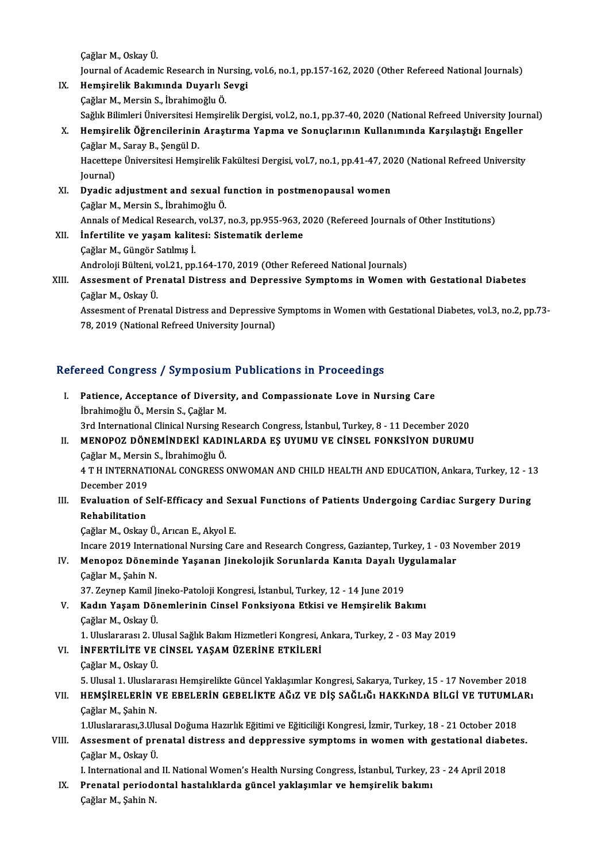Çağlar M., Oskay Ü.

- Çağlar M., Oskay Ü.<br>Journal of Academic Research in Nursing, vol.6, no.1, pp.157-162, 2020 (Other Refereed National Journals)<br>Homeinalik Rakımında Duyarlı Sevai Çağlar M., Oskay Ü.<br>Journal of Academic Research in Nursing<br>IX. Hemşirelik Bakımında Duyarlı Sevgi
- Journal of Academic Research in Nu<br>He<mark>mşirelik Bakımında Duyarlı S</mark><br>Çağlar M., Mersin S., İbrahimoğlu Ö.<br>Seğlık Bilimleri Üniversitesi Hemsire Hemşirelik Bakımında Duyarlı Sevgi<br>Çağlar M., Mersin S., İbrahimoğlu Ö.<br>Sağlık Bilimleri Üniversitesi Hemşirelik Dergisi, vol.2, no.1, pp.37-40, 2020 (National Refreed University Journal)<br>Hemsirelik Öğrengilerinin Arestırm Çağlar M., Mersin S., İbrahimoğlu Ö.<br>Sağlık Bilimleri Üniversitesi Hemşirelik Dergisi, vol.2, no.1, pp.37-40, 2020 (National Refreed University Jour<br>X. Hemşirelik Öğrencilerinin Araştırma Yapma ve Sonuçlarının Kullanım
- Sağlık Bilimleri Üniversitesi H<br>Hemşirelik Öğrencilerinin<br>Çağlar M., Saray B., Şengül D.<br>Hasettana Üniversitesi Hemsi Hemşirelik Öğrencilerinin Araştırma Yapma ve Sonuçlarının Kullanımında Karşılaştığı Engeller<br>Çağlar M., Saray B., Şengül D.<br>Hacettepe Üniversitesi Hemşirelik Fakültesi Dergisi, vol.7, no.1, pp.41-47, 2020 (National Refreed Çağlar M., Saray B., Şengül D.<br>Hacettepe Üniversitesi Hemşirelik Fakültesi Dergisi, vol.7, no.1, pp.41-47, 2020 (National Refreed University<br>Journal)

Hacettepe Üniversitesi Hemşirelik Fakültesi Dergisi, vol.7, no.1, pp.41-47, 20<br>Journal)<br>XI. Dyadic adjustment and sexual function in postmenopausal women

- Journal)<br><mark>Dyadic adjustment and sexual f</mark><br>Çağlar M., Mersin S., İbrahimoğlu Ö.<br>Annak of Modisal Besearsh vol 27 Çağlar M., Mersin S., İbrahimoğlu Ö.<br>Annals of Medical Research, vol.37, no.3, pp.955-963, 2020 (Refereed Journals of Other Institutions)
- XII. İnfertilite ve yaşam kalitesi: Sistematik derleme ÇağlarM.,Güngör Satılmış İ. Androloji Bülteni, vol.21, pp.164-170, 2019 (Other Refereed National Journals) Cağlar M., Güngör Satılmış İ.<br>Androloji Bülteni, vol.21, pp.164-170, 2019 (Other Refereed National Journals)<br>XIII. Assesment of Prenatal Distress and Depressive Symptoms in Women with Gestational Diabetes<br>Coğlar M. Osk

# Androloji Bülteni, v<br>Assesment of Pre<br>Çağlar M., Oskay Ü.<br>Assesment of Bren Assesment of Prenatal Distress and Depressive Symptoms in Women with Gestational Diabetes<br>Çağlar M., Oskay Ü.<br>Assesment of Prenatal Distress and Depressive Symptoms in Women with Gestational Diabetes, vol.3, no.2, pp.73-<br>7

Çağlar M., Oskay Ü.<br>Assesment of Prenatal Distress and Depressive<br>78, 2019 (National Refreed University Journal)

# 78, 2019 (National Refreed University Journal)<br>Refereed Congress / Symposium Publications in Proceedings

| Refereed Congress / Symposium Publications in Proceedings |                                                                                                                   |
|-----------------------------------------------------------|-------------------------------------------------------------------------------------------------------------------|
| L                                                         | Patience, Acceptance of Diversity, and Compassionate Love in Nursing Care<br>İbrahimoğlu Ö., Mersin S., Çağlar M. |
|                                                           | 3rd International Clinical Nursing Research Congress, İstanbul, Turkey, 8 - 11 December 2020                      |
| П.                                                        | MENOPOZ DÖNEMİNDEKİ KADINLARDA EŞ UYUMU VE CİNSEL FONKSİYON DURUMU                                                |
|                                                           | Çağlar M., Mersin S., İbrahimoğlu Ö.                                                                              |
|                                                           | 4 T H INTERNATIONAL CONGRESS ONWOMAN AND CHILD HEALTH AND EDUCATION, Ankara, Turkey, 12 - 13<br>December 2019     |
| III.                                                      | Evaluation of Self-Efficacy and Sexual Functions of Patients Undergoing Cardiac Surgery During                    |
|                                                           | Rehabilitation                                                                                                    |
|                                                           | Çağlar M., Oskay Ü., Arıcan E., Akyol E.                                                                          |
|                                                           | Incare 2019 International Nursing Care and Research Congress, Gaziantep, Turkey, 1 - 03 November 2019             |
| IV.                                                       | Menopoz Döneminde Yaşanan Jinekolojik Sorunlarda Kanıta Dayalı Uygulamalar                                        |
|                                                           | Çağlar M., Şahin N.                                                                                               |
|                                                           | 37. Zeynep Kamil Jineko-Patoloji Kongresi, İstanbul, Turkey, 12 - 14 June 2019                                    |
| V.                                                        | Kadın Yaşam Dönemlerinin Cinsel Fonksiyona Etkisi ve Hemşirelik Bakımı                                            |
|                                                           | Çağlar M, Oskay Ü                                                                                                 |
|                                                           | 1. Uluslararası 2. Ulusal Sağlık Bakım Hizmetleri Kongresi, Ankara, Turkey, 2 - 03 May 2019                       |
| VI.                                                       | <b>INFERTILITE VE CINSEL YAŞAM ÜZERINE ETKILERI</b>                                                               |
|                                                           | Çağlar M., Oskay Ü.                                                                                               |
|                                                           | 5. Ulusal 1. Uluslararası Hemşirelikte Güncel Yaklaşımlar Kongresi, Sakarya, Turkey, 15 - 17 November 2018        |
| VII.                                                      | HEMŞİRELERİN VE EBELERİN GEBELİKTE AĞIZ VE DİŞ SAĞLIĞI HAKKINDA BİLGİ VE TUTUMLARI                                |
|                                                           | Çağlar M., Şahin N.                                                                                               |
|                                                           | 1. Uluslararası, 3. Ulusal Doğuma Hazırlık Eğitimi ve Eğiticiliği Kongresi, İzmir, Turkey, 18 - 21 October 2018   |
| VIII.                                                     | Assesment of prenatal distress and deppressive symptoms in women with gestational diabetes.                       |
|                                                           | Çağlar M, Oskay Ü.                                                                                                |
|                                                           | I. International and II. National Women's Health Nursing Congress, İstanbul, Turkey, 23 - 24 April 2018           |
| IX.                                                       | Prenatal periodontal hastalıklarda güncel yaklaşımlar ve hemşirelik bakımı                                        |
|                                                           | Çağlar M., Şahin N.                                                                                               |